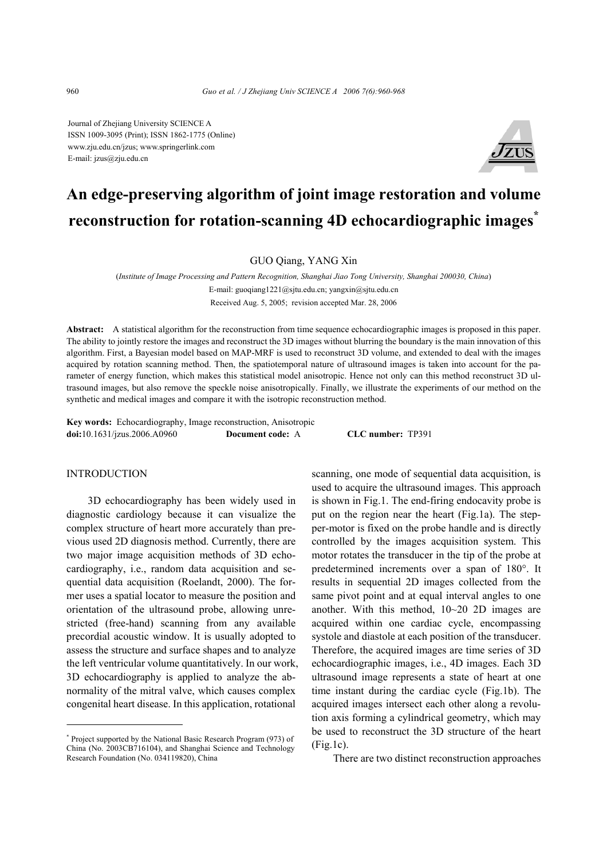Journal of Zhejiang University SCIENCE A ISSN 1009-3095 (Print); ISSN 1862-1775 (Online) www.zju.edu.cn/jzus; www.springerlink.com E-mail: jzus@zju.edu.cn



# **An edge-preserving algorithm of joint image restoration and volume reconstruction for rotation-scanning 4D echocardiographic images\***

GUO Qiang, YANG Xin

(*Institute of Image Processing and Pattern Recognition, Shanghai Jiao Tong University, Shanghai 200030, China*) E-mail: guoqiang1221@sjtu.edu.cn; yangxin@sjtu.edu.cn Received Aug. 5, 2005; revision accepted Mar. 28, 2006

**Abstract:** A statistical algorithm for the reconstruction from time sequence echocardiographic images is proposed in this paper. The ability to jointly restore the images and reconstruct the 3D images without blurring the boundary is the main innovation of this algorithm. First, a Bayesian model based on MAP-MRF is used to reconstruct 3D volume, and extended to deal with the images acquired by rotation scanning method. Then, the spatiotemporal nature of ultrasound images is taken into account for the parameter of energy function, which makes this statistical model anisotropic. Hence not only can this method reconstruct 3D ultrasound images, but also remove the speckle noise anisotropically. Finally, we illustrate the experiments of our method on the synthetic and medical images and compare it with the isotropic reconstruction method.

**Key words:** Echocardiography, Image reconstruction, Anisotropic **doi:**10.1631/jzus.2006.A0960 **Document code:** A **CLC number:** TP391

# INTRODUCTION

3D echocardiography has been widely used in diagnostic cardiology because it can visualize the complex structure of heart more accurately than previous used 2D diagnosis method. Currently, there are two major image acquisition methods of 3D echocardiography, i.e., random data acquisition and sequential data acquisition (Roelandt, 2000). The former uses a spatial locator to measure the position and orientation of the ultrasound probe, allowing unrestricted (free-hand) scanning from any available precordial acoustic window. It is usually adopted to assess the structure and surface shapes and to analyze the left ventricular volume quantitatively. In our work, 3D echocardiography is applied to analyze the abnormality of the mitral valve, which causes complex congenital heart disease. In this application, rotational

scanning, one mode of sequential data acquisition, is used to acquire the ultrasound images. This approach is shown in Fig.1. The end-firing endocavity probe is put on the region near the heart (Fig.1a). The stepper-motor is fixed on the probe handle and is directly controlled by the images acquisition system. This motor rotates the transducer in the tip of the probe at predetermined increments over a span of 180°. It results in sequential 2D images collected from the same pivot point and at equal interval angles to one another. With this method, 10~20 2D images are acquired within one cardiac cycle, encompassing systole and diastole at each position of the transducer. Therefore, the acquired images are time series of 3D echocardiographic images, i.e., 4D images. Each 3D ultrasound image represents a state of heart at one time instant during the cardiac cycle (Fig.1b). The acquired images intersect each other along a revolution axis forming a cylindrical geometry, which may be used to reconstruct the 3D structure of the heart  $(Fi\varrho 1c)$ .

There are two distinct reconstruction approaches

<sup>\*</sup> Project supported by the National Basic Research Program (973) of China (No. 2003CB716104), and Shanghai Science and Technology Research Foundation (No. 034119820), China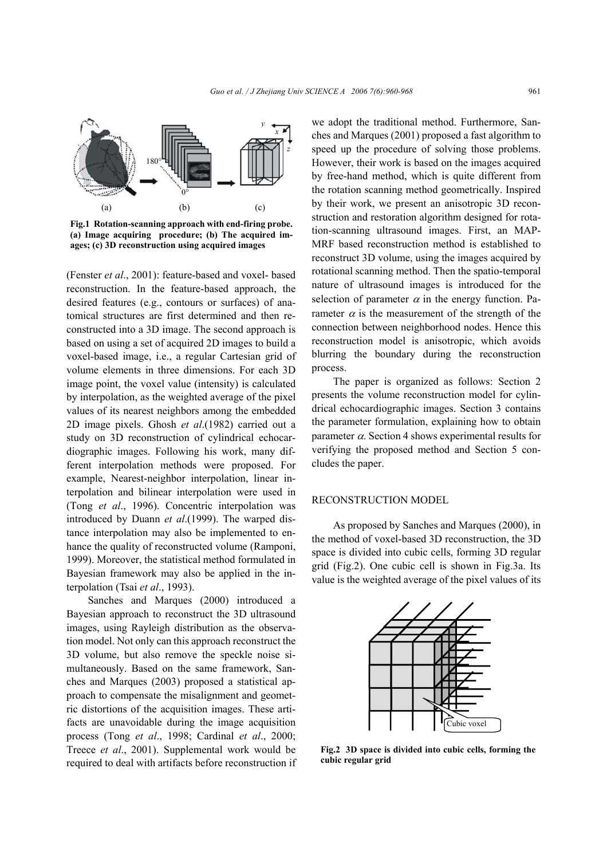

**Fig.1 Rotation-scanning approach with end-firing probe. (a) Image acquiring procedure; (b) The acquired images; (c) 3D reconstruction using acquired images** 

(Fenster *et al*., 2001): feature-based and voxel- based reconstruction. In the feature-based approach, the desired features (e.g., contours or surfaces) of anatomical structures are first determined and then reconstructed into a 3D image. The second approach is based on using a set of acquired 2D images to build a voxel-based image, i.e., a regular Cartesian grid of volume elements in three dimensions. For each 3D image point, the voxel value (intensity) is calculated by interpolation, as the weighted average of the pixel values of its nearest neighbors among the embedded 2D image pixels. Ghosh *et al*.(1982) carried out a study on 3D reconstruction of cylindrical echocardiographic images. Following his work, many different interpolation methods were proposed. For example, Nearest-neighbor interpolation, linear interpolation and bilinear interpolation were used in (Tong *et al*., 1996). Concentric interpolation was introduced by Duann *et al*.(1999). The warped distance interpolation may also be implemented to enhance the quality of reconstructed volume (Ramponi, 1999). Moreover, the statistical method formulated in Bayesian framework may also be applied in the interpolation (Tsai *et al*., 1993).

Sanches and Marques (2000) introduced a Bayesian approach to reconstruct the 3D ultrasound images, using Rayleigh distribution as the observation model. Not only can this approach reconstruct the 3D volume, but also remove the speckle noise simultaneously. Based on the same framework, Sanches and Marques (2003) proposed a statistical approach to compensate the misalignment and geometric distortions of the acquisition images. These artifacts are unavoidable during the image acquisition process (Tong *et al*., 1998; Cardinal *et al*., 2000; Treece *et al*., 2001). Supplemental work would be required to deal with artifacts before reconstruction if we adopt the traditional method. Furthermore, Sanches and Marques (2001) proposed a fast algorithm to speed up the procedure of solving those problems. However, their work is based on the images acquired by free-hand method, which is quite different from the rotation scanning method geometrically. Inspired by their work, we present an anisotropic 3D reconstruction and restoration algorithm designed for rotation-scanning ultrasound images. First, an MAP-MRF based reconstruction method is established to reconstruct 3D volume, using the images acquired by rotational scanning method. Then the spatio-temporal nature of ultrasound images is introduced for the selection of parameter  $\alpha$  in the energy function. Parameter  $\alpha$  is the measurement of the strength of the connection between neighborhood nodes. Hence this reconstruction model is anisotropic, which avoids blurring the boundary during the reconstruction process.

The paper is organized as follows: Section 2 presents the volume reconstruction model for cylindrical echocardiographic images. Section 3 contains the parameter formulation, explaining how to obtain parameter  $\alpha$ . Section 4 shows experimental results for verifying the proposed method and Section 5 concludes the paper.

### RECONSTRUCTION MODEL

As proposed by Sanches and Marques (2000), in the method of voxel-based 3D reconstruction, the 3D space is divided into cubic cells, forming 3D regular grid (Fig.2). One cubic cell is shown in Fig.3a. Its value is the weighted average of the pixel values of its



**Fig.2 3D space is divided into cubic cells, forming the cubic regular grid**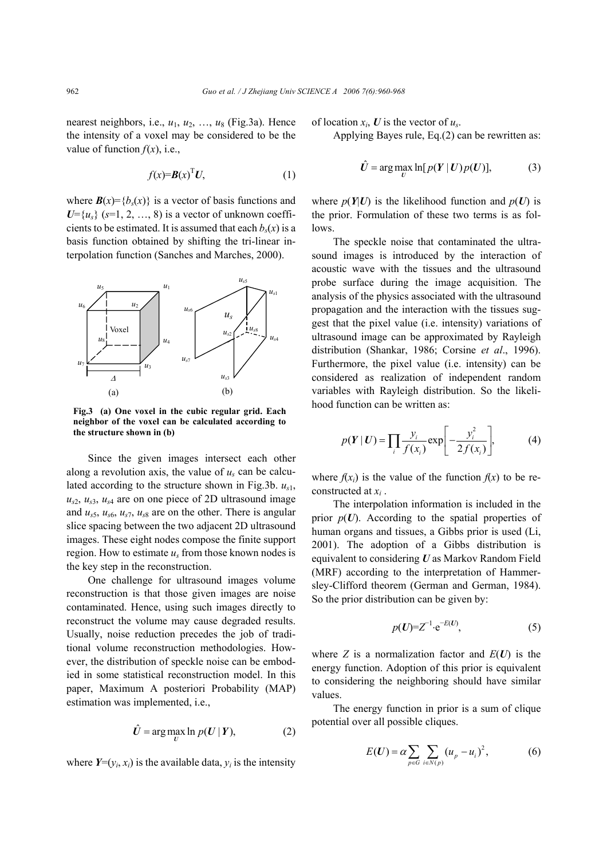nearest neighbors, i.e.,  $u_1$ ,  $u_2$ , ...,  $u_8$  (Fig.3a). Hence the intensity of a voxel may be considered to be the value of function  $f(x)$ , i.e.,

$$
f(x)=\mathbf{B}(x)^{\mathrm{T}}\mathbf{U},\tag{1}
$$

where  $\mathbf{B}(x) = \{b_s(x)\}\$ is a vector of basis functions and  $U = \{u_s\}$  ( $s = 1, 2, ..., 8$ ) is a vector of unknown coefficients to be estimated. It is assumed that each  $b_s(x)$  is a basis function obtained by shifting the tri-linear interpolation function (Sanches and Marches, 2000).



**Fig.3 (a) One voxel in the cubic regular grid. Each neighbor of the voxel can be calculated according to the structure shown in (b)** 

Since the given images intersect each other along a revolution axis, the value of *us* can be calculated according to the structure shown in Fig.3b. *us*1,  $u_{s2}$ ,  $u_{s3}$ ,  $u_{s4}$  are on one piece of 2D ultrasound image and  $u_{s5}$ ,  $u_{s6}$ ,  $u_{s7}$ ,  $u_{s8}$  are on the other. There is angular slice spacing between the two adjacent 2D ultrasound images. These eight nodes compose the finite support region. How to estimate  $u_s$  from those known nodes is the key step in the reconstruction.

One challenge for ultrasound images volume reconstruction is that those given images are noise contaminated. Hence, using such images directly to reconstruct the volume may cause degraded results. Usually, noise reduction precedes the job of traditional volume reconstruction methodologies. However, the distribution of speckle noise can be embodied in some statistical reconstruction model. In this paper, Maximum A posteriori Probability (MAP) estimation was implemented, i.e.,

$$
\hat{U} = \arg\max_{U} \ln p(U | Y), \tag{2}
$$

where  $Y=(y_i, x_i)$  is the available data,  $y_i$  is the intensity

of location  $x_i$ , *U* is the vector of  $u_s$ .

Applying Bayes rule, Eq.(2) can be rewritten as:

$$
\hat{U} = \arg\max_{U} \ln[p(Y | U)p(U)],\tag{3}
$$

where  $p(Y|U)$  is the likelihood function and  $p(U)$  is the prior. Formulation of these two terms is as follows.

The speckle noise that contaminated the ultrasound images is introduced by the interaction of acoustic wave with the tissues and the ultrasound probe surface during the image acquisition. The analysis of the physics associated with the ultrasound propagation and the interaction with the tissues suggest that the pixel value (i.e. intensity) variations of ultrasound image can be approximated by Rayleigh distribution (Shankar, 1986; Corsine *et al*., 1996). Furthermore, the pixel value (i.e. intensity) can be considered as realization of independent random variables with Rayleigh distribution. So the likelihood function can be written as:

$$
p(\boldsymbol{Y} \mid \boldsymbol{U}) = \prod_{i} \frac{y_i}{f(x_i)} \exp\left[-\frac{y_i^2}{2f(x_i)}\right],\tag{4}
$$

where  $f(x_i)$  is the value of the function  $f(x)$  to be reconstructed at *xi* .

The interpolation information is included in the prior  $p(U)$ . According to the spatial properties of human organs and tissues, a Gibbs prior is used (Li, 2001). The adoption of a Gibbs distribution is equivalent to considering *U* as Markov Random Field (MRF) according to the interpretation of Hammersley-Clifford theorem (German and German, 1984). So the prior distribution can be given by:

$$
p(\boldsymbol{U}) = \boldsymbol{Z}^{-1} \cdot \mathbf{e}^{-\boldsymbol{E}(\boldsymbol{U})},\tag{5}
$$

where *Z* is a normalization factor and  $E(U)$  is the energy function. Adoption of this prior is equivalent to considering the neighboring should have similar values.

The energy function in prior is a sum of clique potential over all possible cliques.

$$
E(U) = \alpha \sum_{p \in G} \sum_{i \in N(p)} (u_p - u_i)^2, \tag{6}
$$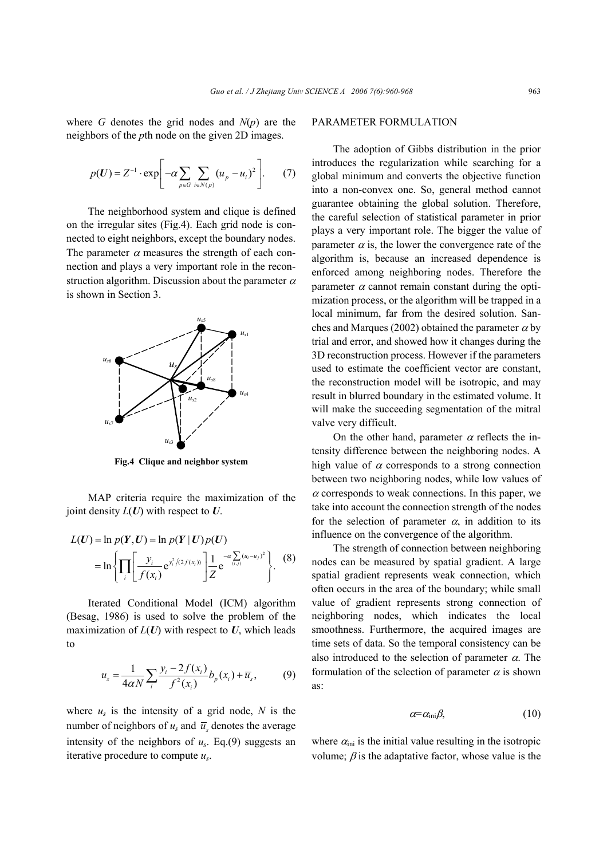where *G* denotes the grid nodes and  $N(p)$  are the neighbors of the *p*th node on the given 2D images.

$$
p(\boldsymbol{U}) = Z^{-1} \cdot \exp \left[-\alpha \sum_{p \in G} \sum_{i \in N(p)} (u_p - u_i)^2\right].
$$
 (7)

The neighborhood system and clique is defined on the irregular sites (Fig.4). Each grid node is connected to eight neighbors, except the boundary nodes. The parameter  $\alpha$  measures the strength of each connection and plays a very important role in the reconstruction algorithm. Discussion about the parameter  $\alpha$ is shown in Section 3.



**Fig.4 Clique and neighbor system** 

MAP criteria require the maximization of the joint density *L*(*U*) with respect to *U*.

$$
L(U) = \ln p(Y, U) = \ln p(Y | U) p(U)
$$
  
=  $\ln \left\{ \prod_i \left[ \frac{y_i}{f(x_i)} e^{y_i^2/(2f(x_i))} \right] \frac{1}{Z} e^{-\alpha \sum_{(i,j)} (u_i - u_j)^2} \right\}$ . (8)

Iterated Conditional Model (ICM) algorithm (Besag, 1986) is used to solve the problem of the maximization of  $L(U)$  with respect to  $U$ , which leads to

$$
u_{s} = \frac{1}{4\alpha N} \sum_{i} \frac{y_{i} - 2f(x_{i})}{f^{2}(x_{i})} b_{p}(x_{i}) + \overline{u}_{s},
$$
 (9)

where  $u_s$  is the intensity of a grid node,  $N$  is the number of neighbors of  $u_s$  and  $\overline{u}_s$  denotes the average intensity of the neighbors of  $u_s$ . Eq.(9) suggests an iterative procedure to compute *us*.

#### PARAMETER FORMULATION

The adoption of Gibbs distribution in the prior introduces the regularization while searching for a global minimum and converts the objective function into a non-convex one. So, general method cannot guarantee obtaining the global solution. Therefore, the careful selection of statistical parameter in prior plays a very important role. The bigger the value of parameter  $\alpha$  is, the lower the convergence rate of the algorithm is, because an increased dependence is enforced among neighboring nodes. Therefore the parameter  $\alpha$  cannot remain constant during the optimization process, or the algorithm will be trapped in a local minimum, far from the desired solution. Sanches and Marques (2002) obtained the parameter  $\alpha$  by trial and error, and showed how it changes during the 3D reconstruction process. However if the parameters used to estimate the coefficient vector are constant, the reconstruction model will be isotropic, and may result in blurred boundary in the estimated volume. It will make the succeeding segmentation of the mitral valve very difficult.

On the other hand, parameter  $\alpha$  reflects the intensity difference between the neighboring nodes. A high value of  $\alpha$  corresponds to a strong connection between two neighboring nodes, while low values of  $\alpha$  corresponds to weak connections. In this paper, we take into account the connection strength of the nodes for the selection of parameter  $\alpha$ , in addition to its influence on the convergence of the algorithm.

The strength of connection between neighboring nodes can be measured by spatial gradient. A large spatial gradient represents weak connection, which often occurs in the area of the boundary; while small value of gradient represents strong connection of neighboring nodes, which indicates the local smoothness. Furthermore, the acquired images are time sets of data. So the temporal consistency can be also introduced to the selection of parameter  $\alpha$ . The formulation of the selection of parameter  $\alpha$  is shown as:

$$
\alpha = \alpha_{\rm ini} \beta, \tag{10}
$$

where  $\alpha_{\rm ini}$  is the initial value resulting in the isotropic volume;  $\beta$  is the adaptative factor, whose value is the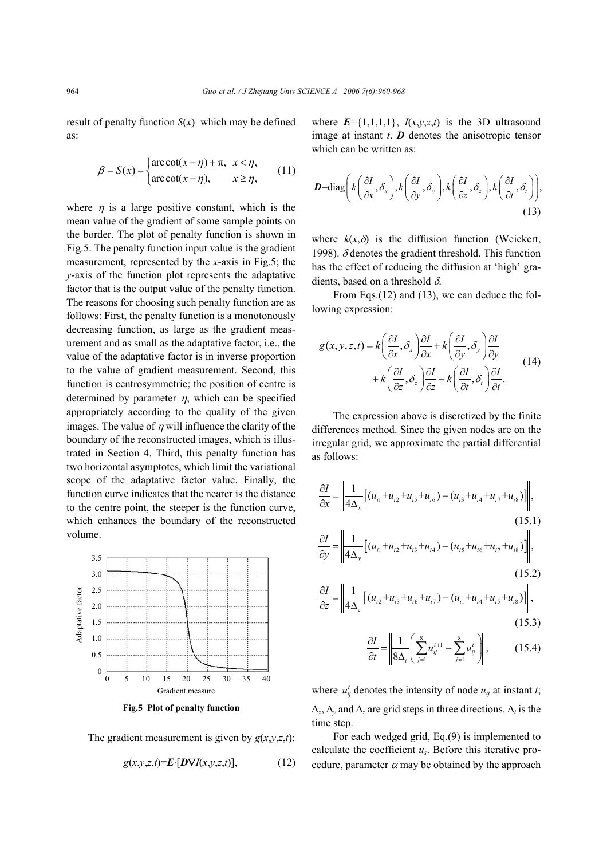result of penalty function  $S(x)$  which may be defined as:

$$
\beta = S(x) = \begin{cases} \arccot(x - \eta) + \pi, & x < \eta, \\ \arccot(x - \eta), & x \ge \eta, \end{cases}
$$
 (11)

where  $\eta$  is a large positive constant, which is the mean value of the gradient of some sample points on the border. The plot of penalty function is shown in Fig.5. The penalty function input value is the gradient measurement, represented by the *x*-axis in Fig.5; the *y*-axis of the function plot represents the adaptative factor that is the output value of the penalty function. The reasons for choosing such penalty function are as follows: First, the penalty function is a monotonously decreasing function, as large as the gradient measurement and as small as the adaptative factor, i.e., the value of the adaptative factor is in inverse proportion to the value of gradient measurement. Second, this function is centrosymmetric; the position of centre is determined by parameter  $\eta$ , which can be specified appropriately according to the quality of the given images. The value of  $\eta$  will influence the clarity of the boundary of the reconstructed images, which is illustrated in Section 4. Third, this penalty function has two horizontal asymptotes, which limit the variational scope of the adaptative factor value. Finally, the function curve indicates that the nearer is the distance to the centre point, the steeper is the function curve, which enhances the boundary of the reconstructed volume.



**Fig.5 Plot of penalty function** 

The gradient measurement is given by  $g(x, y, z, t)$ :

$$
g(x, y, z, t) = \mathbf{E} \cdot [\mathbf{D} \nabla I(x, y, z, t)],\tag{12}
$$

where  $E = \{1,1,1,1\}$ ,  $I(x,y,z,t)$  is the 3D ultrasound image at instant *t*. *D* denotes the anisotropic tensor which can be written as:

$$
\mathbf{D} = \text{diag}\bigg(k\bigg(\frac{\partial I}{\partial x}, \delta_x\bigg), k\bigg(\frac{\partial I}{\partial y}, \delta_y\bigg), k\bigg(\frac{\partial I}{\partial z}, \delta_z\bigg), k\bigg(\frac{\partial I}{\partial t}, \delta_t\bigg)\bigg),\tag{13}
$$

where  $k(x, \delta)$  is the diffusion function (Weickert, 1998).  $\delta$  denotes the gradient threshold. This function has the effect of reducing the diffusion at 'high' gradients, based on a threshold  $\delta$ .

From Eqs.(12) and (13), we can deduce the following expression:

$$
g(x, y, z, t) = k \left( \frac{\partial I}{\partial x}, \delta_x \right) \frac{\partial I}{\partial x} + k \left( \frac{\partial I}{\partial y}, \delta_y \right) \frac{\partial I}{\partial y} + k \left( \frac{\partial I}{\partial z}, \delta_z \right) \frac{\partial I}{\partial z} + k \left( \frac{\partial I}{\partial t}, \delta_t \right) \frac{\partial I}{\partial t}.
$$
 (14)

The expression above is discretized by the finite differences method. Since the given nodes are on the irregular grid, we approximate the partial differential as follows:

$$
\frac{\partial I}{\partial x} = \left\| \frac{1}{4\Delta_x} \left[ (u_{i1} + u_{i2} + u_{i5} + u_{i6}) - (u_{i3} + u_{i4} + u_{i7} + u_{i8}) \right] \right\|,
$$
\n(15.1)  
\n
$$
\frac{\partial I}{\partial y} = \left\| \frac{1}{4\Delta_y} \left[ (u_{i1} + u_{i2} + u_{i3} + u_{i4}) - (u_{i5} + u_{i6} + u_{i7} + u_{i8}) \right] \right\|,
$$
\n(15.2)  
\n
$$
\frac{\partial I}{\partial z} = \left\| \frac{1}{4\Delta_z} \left[ (u_{i2} + u_{i3} + u_{i6} + u_{i7}) - (u_{i1} + u_{i4} + u_{i5} + u_{i8}) \right] \right\|,
$$
\n(15.3)

$$
\frac{\partial I}{\partial t} = \left\| \frac{1}{8\Delta_i} \left( \sum_{j=1}^8 u_{ij}^{t+1} - \sum_{j=1}^8 u_{ij}^t \right) \right\|, \tag{15.4}
$$

where  $u_{ij}^t$  denotes the intensity of node  $u_{ij}$  at instant *t*;  $\Delta$ <sup>*x*</sup>,  $\Delta$ <sup>*γ*</sup> and  $\Delta$ <sup>*z*</sup> are grid steps in three directions.  $\Delta$ <sup>*t*</sup> is the time step.

For each wedged grid, Eq.(9) is implemented to calculate the coefficient *us*. Before this iterative procedure, parameter  $\alpha$  may be obtained by the approach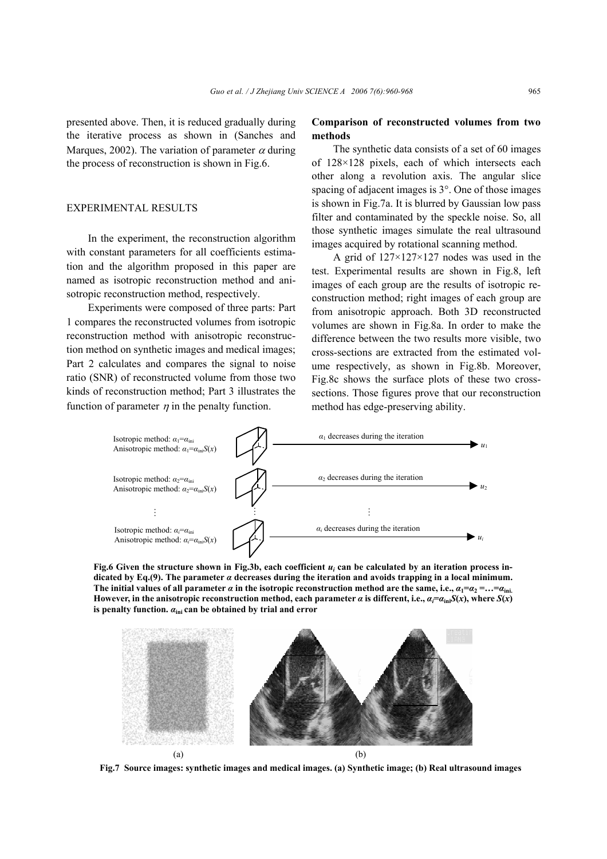presented above. Then, it is reduced gradually during the iterative process as shown in (Sanches and Marques, 2002). The variation of parameter  $\alpha$  during the process of reconstruction is shown in Fig.6.

# EXPERIMENTAL RESULTS

In the experiment, the reconstruction algorithm with constant parameters for all coefficients estimation and the algorithm proposed in this paper are named as isotropic reconstruction method and anisotropic reconstruction method, respectively.

Experiments were composed of three parts: Part 1 compares the reconstructed volumes from isotropic reconstruction method with anisotropic reconstruction method on synthetic images and medical images; Part 2 calculates and compares the signal to noise ratio (SNR) of reconstructed volume from those two kinds of reconstruction method; Part 3 illustrates the function of parameter  $\eta$  in the penalty function.

# **Comparison of reconstructed volumes from two methods**

The synthetic data consists of a set of 60 images of 128×128 pixels, each of which intersects each other along a revolution axis. The angular slice spacing of adjacent images is 3°. One of those images is shown in Fig.7a. It is blurred by Gaussian low pass filter and contaminated by the speckle noise. So, all those synthetic images simulate the real ultrasound images acquired by rotational scanning method.

A grid of 127×127×127 nodes was used in the test. Experimental results are shown in Fig.8, left images of each group are the results of isotropic reconstruction method; right images of each group are from anisotropic approach. Both 3D reconstructed volumes are shown in Fig.8a. In order to make the difference between the two results more visible, two cross-sections are extracted from the estimated volume respectively, as shown in Fig.8b. Moreover, Fig.8c shows the surface plots of these two crosssections. Those figures prove that our reconstruction method has edge-preserving ability.



**Fig.6 Given the structure shown in Fig.3b, each coefficient** *ui* **can be calculated by an iteration process indicated by Eq.(9). The parameter** *α* **decreases during the iteration and avoids trapping in a local minimum. The initial values of all parameter**  $\alpha$  **in the isotropic reconstruction method are the same, i.e.,**  $\alpha_1 = \alpha_2 = ... = \alpha_{\text{ini.}}$ **However, in the anisotropic reconstruction method, each parameter**  $\alpha$  **is different, i.e.,**  $\alpha_i = \alpha_{\text{in}} S(x)$ **, where**  $S(x)$ **is penalty function.** *α***ini can be obtained by trial and error** 



**Fig.7 Source images: synthetic images and medical images. (a) Synthetic image; (b) Real ultrasound images**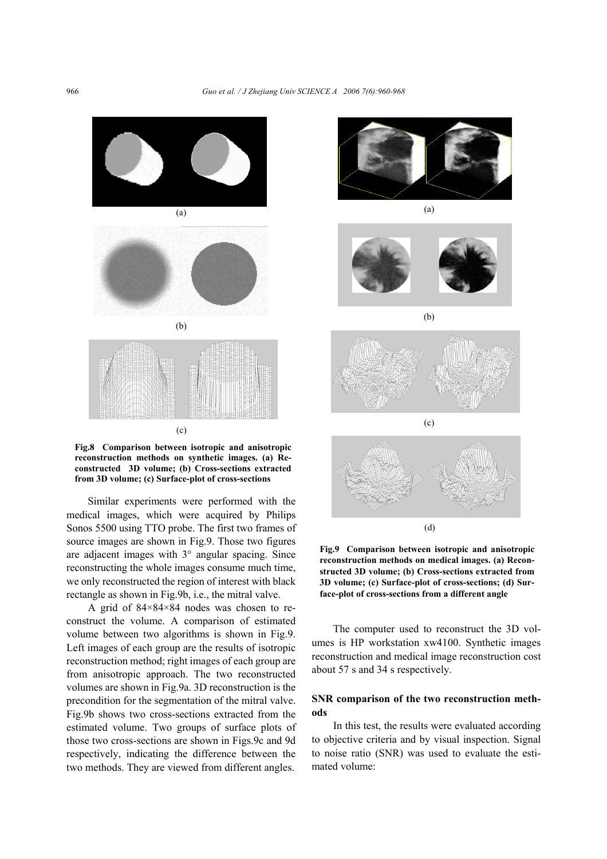

**Fig.8 Comparison between isotropic and anisotropic reconstruction methods on synthetic images. (a) Reconstructed 3D volume; (b) Cross-sections extracted from 3D volume; (c) Surface-plot of cross-sections**

Similar experiments were performed with the medical images, which were acquired by Philips Sonos 5500 using TTO probe. The first two frames of source images are shown in Fig.9. Those two figures are adjacent images with 3° angular spacing. Since reconstructing the whole images consume much time, we only reconstructed the region of interest with black rectangle as shown in Fig.9b, i.e., the mitral valve.

A grid of 84×84×84 nodes was chosen to reconstruct the volume. A comparison of estimated volume between two algorithms is shown in Fig.9. Left images of each group are the results of isotropic reconstruction method; right images of each group are from anisotropic approach. The two reconstructed volumes are shown in Fig.9a. 3D reconstruction is the precondition for the segmentation of the mitral valve. Fig.9b shows two cross-sections extracted from the estimated volume. Two groups of surface plots of those two cross-sections are shown in Figs.9c and 9d respectively, indicating the difference between the two methods. They are viewed from different angles.



(a)





(b)



**Fig.9 Comparison between isotropic and anisotropic reconstruction methods on medical images. (a) Reconstructed 3D volume; (b) Cross-sections extracted from 3D volume; (c) Surface-plot of cross-sections; (d) Surface-plot of cross-sections from a different angle** 

The computer used to reconstruct the 3D volumes is HP workstation xw4100. Synthetic images reconstruction and medical image reconstruction cost about 57 s and 34 s respectively.

# **SNR comparison of the two reconstruction methods**

In this test, the results were evaluated according to objective criteria and by visual inspection. Signal to noise ratio (SNR) was used to evaluate the estimated volume: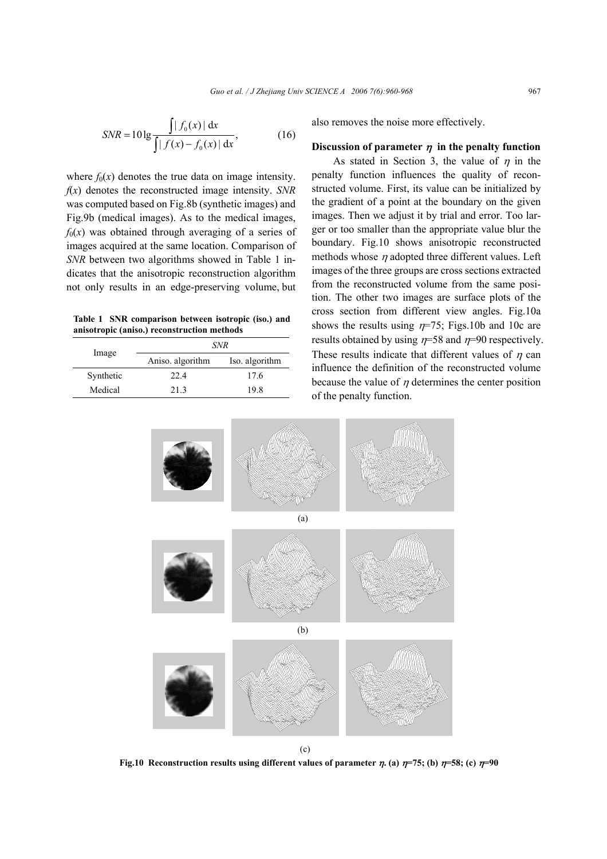$$
SNR = 10 \lg \frac{\int |f_0(x)| \, dx}{\int |f(x) - f_0(x)| \, dx},
$$
\n(16)

where  $f_0(x)$  denotes the true data on image intensity. *f*(*x*) denotes the reconstructed image intensity. *SNR* was computed based on Fig.8b (synthetic images) and Fig.9b (medical images). As to the medical images,  $f_0(x)$  was obtained through averaging of a series of images acquired at the same location. Comparison of *SNR* between two algorithms showed in Table 1 indicates that the anisotropic reconstruction algorithm not only results in an edge-preserving volume, but

**Table 1 SNR comparison between isotropic (iso.) and anisotropic (aniso.) reconstruction methods** 

| Image     | SNR              |                |
|-----------|------------------|----------------|
|           | Aniso. algorithm | Iso. algorithm |
| Synthetic | 22.4             | 17.6           |
| Medical   | 213              | 19 8           |

also removes the noise more effectively.

#### **Discussion of parameter**  $\eta$  **in the penalty function**

As stated in Section 3, the value of  $\eta$  in the penalty function influences the quality of reconstructed volume. First, its value can be initialized by the gradient of a point at the boundary on the given images. Then we adjust it by trial and error. Too larger or too smaller than the appropriate value blur the boundary. Fig.10 shows anisotropic reconstructed methods whose  $\eta$  adopted three different values. Left images of the three groups are cross sections extracted from the reconstructed volume from the same position. The other two images are surface plots of the cross section from different view angles. Fig.10a shows the results using  $n=75$ ; Figs.10b and 10c are results obtained by using  $n=58$  and  $n=90$  respectively. These results indicate that different values of  $\eta$  can influence the definition of the reconstructed volume because the value of  $\eta$  determines the center position of the penalty function.



**Fig.10 Reconstruction results using different values of parameter**  $\eta$ **. (a)**  $\eta$ **=75; (b)**  $\eta$ **=58; (c)**  $\eta$ **=90**